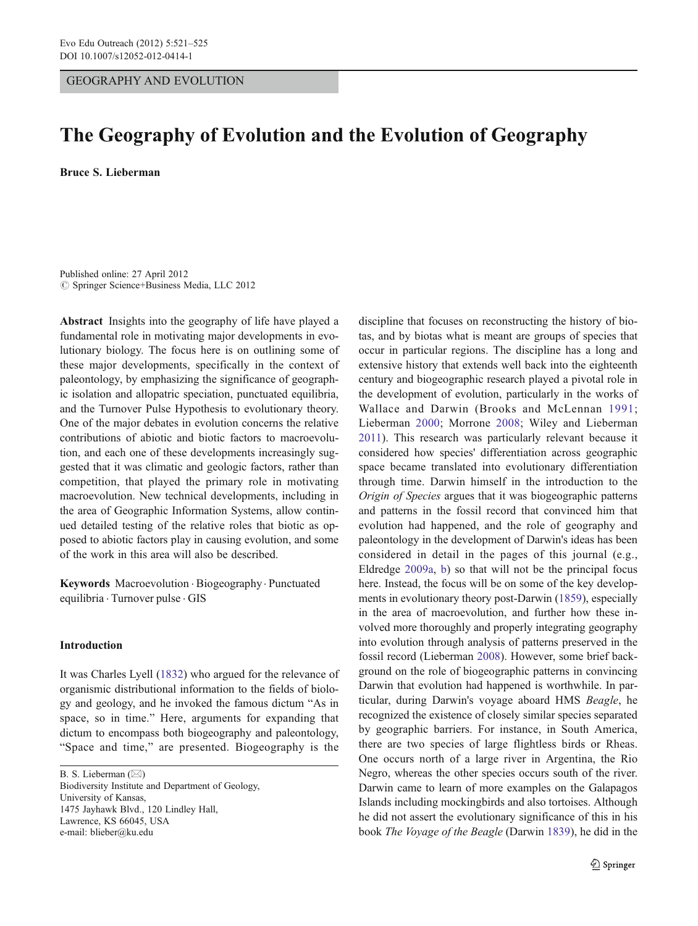## GEOGRAPHY AND EVOLUTION

# The Geography of Evolution and the Evolution of Geography

Bruce S. Lieberman

Published online: 27 April 2012 # Springer Science+Business Media, LLC 2012

Abstract Insights into the geography of life have played a fundamental role in motivating major developments in evolutionary biology. The focus here is on outlining some of these major developments, specifically in the context of paleontology, by emphasizing the significance of geographic isolation and allopatric speciation, punctuated equilibria, and the Turnover Pulse Hypothesis to evolutionary theory. One of the major debates in evolution concerns the relative contributions of abiotic and biotic factors to macroevolution, and each one of these developments increasingly suggested that it was climatic and geologic factors, rather than competition, that played the primary role in motivating macroevolution. New technical developments, including in the area of Geographic Information Systems, allow continued detailed testing of the relative roles that biotic as opposed to abiotic factors play in causing evolution, and some of the work in this area will also be described.

Keywords Macroevolution . Biogeography. Punctuated equilibria . Turnover pulse . GIS

### Introduction

It was Charles Lyell ([1832\)](#page-4-0) who argued for the relevance of organismic distributional information to the fields of biology and geology, and he invoked the famous dictum "As in space, so in time." Here, arguments for expanding that dictum to encompass both biogeography and paleontology, "Space and time," are presented. Biogeography is the

B. S. Lieberman  $(\boxtimes)$ 

Biodiversity Institute and Department of Geology, University of Kansas, 1475 Jayhawk Blvd., 120 Lindley Hall, Lawrence, KS 66045, USA e-mail: blieber@ku.edu

discipline that focuses on reconstructing the history of biotas, and by biotas what is meant are groups of species that occur in particular regions. The discipline has a long and extensive history that extends well back into the eighteenth century and biogeographic research played a pivotal role in the development of evolution, particularly in the works of Wallace and Darwin (Brooks and McLennan [1991;](#page-4-0) Lieberman [2000;](#page-4-0) Morrone [2008](#page-4-0); Wiley and Lieberman [2011\)](#page-4-0). This research was particularly relevant because it considered how species' differentiation across geographic space became translated into evolutionary differentiation through time. Darwin himself in the introduction to the Origin of Species argues that it was biogeographic patterns and patterns in the fossil record that convinced him that evolution had happened, and the role of geography and paleontology in the development of Darwin's ideas has been considered in detail in the pages of this journal (e.g., Eldredge [2009a,](#page-4-0) [b](#page-4-0)) so that will not be the principal focus here. Instead, the focus will be on some of the key developments in evolutionary theory post-Darwin ([1859\)](#page-4-0), especially in the area of macroevolution, and further how these involved more thoroughly and properly integrating geography into evolution through analysis of patterns preserved in the fossil record (Lieberman [2008](#page-4-0)). However, some brief background on the role of biogeographic patterns in convincing Darwin that evolution had happened is worthwhile. In particular, during Darwin's voyage aboard HMS Beagle, he recognized the existence of closely similar species separated by geographic barriers. For instance, in South America, there are two species of large flightless birds or Rheas. One occurs north of a large river in Argentina, the Rio Negro, whereas the other species occurs south of the river. Darwin came to learn of more examples on the Galapagos Islands including mockingbirds and also tortoises. Although he did not assert the evolutionary significance of this in his book The Voyage of the Beagle (Darwin [1839\)](#page-4-0), he did in the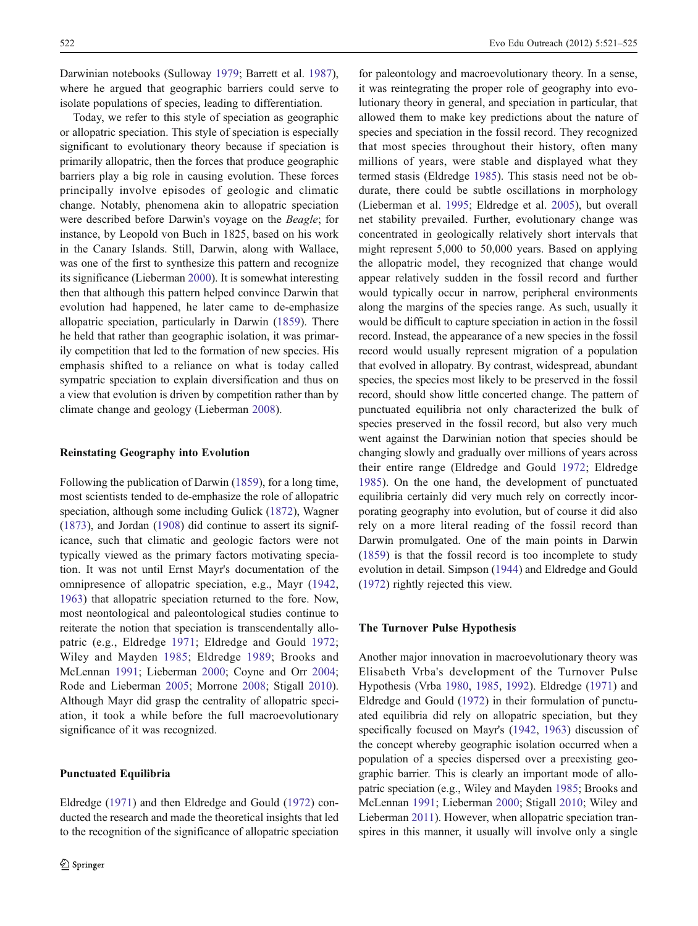Darwinian notebooks (Sulloway [1979;](#page-4-0) Barrett et al. [1987](#page-4-0)), where he argued that geographic barriers could serve to isolate populations of species, leading to differentiation.

Today, we refer to this style of speciation as geographic or allopatric speciation. This style of speciation is especially significant to evolutionary theory because if speciation is primarily allopatric, then the forces that produce geographic barriers play a big role in causing evolution. These forces principally involve episodes of geologic and climatic change. Notably, phenomena akin to allopatric speciation were described before Darwin's voyage on the Beagle; for instance, by Leopold von Buch in 1825, based on his work in the Canary Islands. Still, Darwin, along with Wallace, was one of the first to synthesize this pattern and recognize its significance (Lieberman [2000](#page-4-0)). It is somewhat interesting then that although this pattern helped convince Darwin that evolution had happened, he later came to de-emphasize allopatric speciation, particularly in Darwin [\(1859](#page-4-0)). There he held that rather than geographic isolation, it was primarily competition that led to the formation of new species. His emphasis shifted to a reliance on what is today called sympatric speciation to explain diversification and thus on a view that evolution is driven by competition rather than by climate change and geology (Lieberman [2008](#page-4-0)).

#### Reinstating Geography into Evolution

Following the publication of Darwin ([1859\)](#page-4-0), for a long time, most scientists tended to de-emphasize the role of allopatric speciation, although some including Gulick [\(1872](#page-4-0)), Wagner [\(1873](#page-4-0)), and Jordan ([1908\)](#page-4-0) did continue to assert its significance, such that climatic and geologic factors were not typically viewed as the primary factors motivating speciation. It was not until Ernst Mayr's documentation of the omnipresence of allopatric speciation, e.g., Mayr [\(1942,](#page-4-0) [1963\)](#page-4-0) that allopatric speciation returned to the fore. Now, most neontological and paleontological studies continue to reiterate the notion that speciation is transcendentally allopatric (e.g., Eldredge [1971;](#page-4-0) Eldredge and Gould [1972](#page-4-0); Wiley and Mayden [1985](#page-4-0); Eldredge [1989;](#page-4-0) Brooks and McLennan [1991](#page-4-0); Lieberman [2000](#page-4-0); Coyne and Orr [2004](#page-4-0); Rode and Lieberman [2005](#page-4-0); Morrone [2008;](#page-4-0) Stigall [2010](#page-4-0)). Although Mayr did grasp the centrality of allopatric speciation, it took a while before the full macroevolutionary significance of it was recognized.

#### Punctuated Equilibria

Eldredge [\(1971](#page-4-0)) and then Eldredge and Gould [\(1972](#page-4-0)) conducted the research and made the theoretical insights that led to the recognition of the significance of allopatric speciation

for paleontology and macroevolutionary theory. In a sense, it was reintegrating the proper role of geography into evolutionary theory in general, and speciation in particular, that allowed them to make key predictions about the nature of species and speciation in the fossil record. They recognized that most species throughout their history, often many millions of years, were stable and displayed what they termed stasis (Eldredge [1985](#page-4-0)). This stasis need not be obdurate, there could be subtle oscillations in morphology (Lieberman et al. [1995](#page-4-0); Eldredge et al. [2005\)](#page-4-0), but overall net stability prevailed. Further, evolutionary change was concentrated in geologically relatively short intervals that might represent 5,000 to 50,000 years. Based on applying the allopatric model, they recognized that change would appear relatively sudden in the fossil record and further would typically occur in narrow, peripheral environments along the margins of the species range. As such, usually it would be difficult to capture speciation in action in the fossil record. Instead, the appearance of a new species in the fossil record would usually represent migration of a population that evolved in allopatry. By contrast, widespread, abundant species, the species most likely to be preserved in the fossil record, should show little concerted change. The pattern of punctuated equilibria not only characterized the bulk of species preserved in the fossil record, but also very much went against the Darwinian notion that species should be changing slowly and gradually over millions of years across their entire range (Eldredge and Gould [1972;](#page-4-0) Eldredge [1985](#page-4-0)). On the one hand, the development of punctuated equilibria certainly did very much rely on correctly incorporating geography into evolution, but of course it did also rely on a more literal reading of the fossil record than Darwin promulgated. One of the main points in Darwin [\(1859](#page-4-0)) is that the fossil record is too incomplete to study evolution in detail. Simpson ([1944\)](#page-4-0) and Eldredge and Gould [\(1972](#page-4-0)) rightly rejected this view.

#### The Turnover Pulse Hypothesis

Another major innovation in macroevolutionary theory was Elisabeth Vrba's development of the Turnover Pulse Hypothesis (Vrba [1980](#page-4-0), [1985,](#page-4-0) [1992\)](#page-4-0). Eldredge [\(1971](#page-4-0)) and Eldredge and Gould ([1972\)](#page-4-0) in their formulation of punctuated equilibria did rely on allopatric speciation, but they specifically focused on Mayr's ([1942,](#page-4-0) [1963\)](#page-4-0) discussion of the concept whereby geographic isolation occurred when a population of a species dispersed over a preexisting geographic barrier. This is clearly an important mode of allopatric speciation (e.g., Wiley and Mayden [1985;](#page-4-0) Brooks and McLennan [1991;](#page-4-0) Lieberman [2000](#page-4-0); Stigall [2010](#page-4-0); Wiley and Lieberman [2011\)](#page-4-0). However, when allopatric speciation transpires in this manner, it usually will involve only a single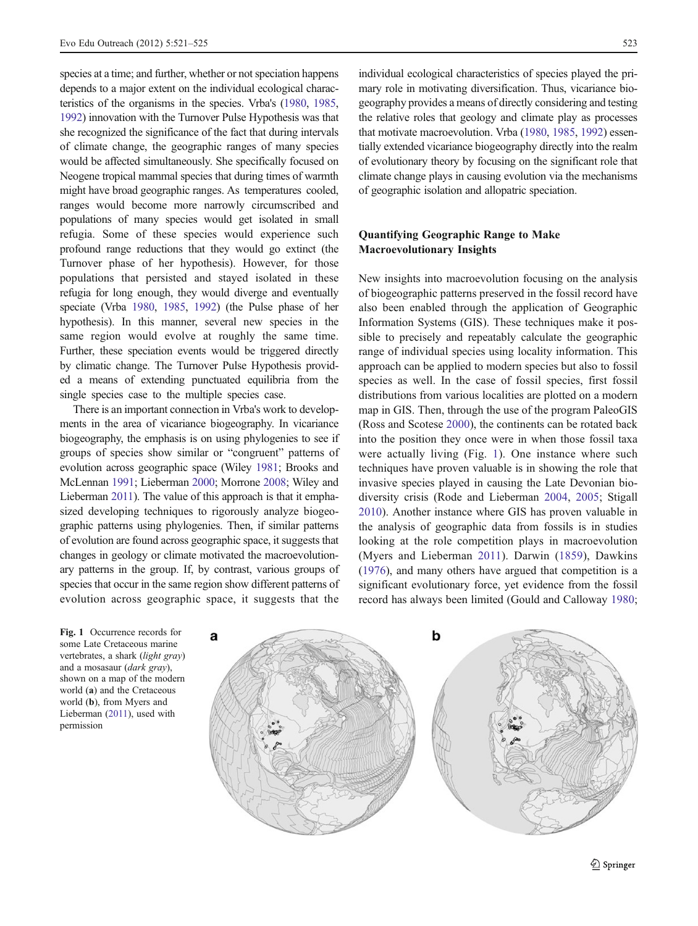<span id="page-2-0"></span>species at a time; and further, whether or not speciation happens depends to a major extent on the individual ecological characteristics of the organisms in the species. Vrba's [\(1980](#page-4-0), [1985,](#page-4-0) [1992](#page-4-0)) innovation with the Turnover Pulse Hypothesis was that she recognized the significance of the fact that during intervals of climate change, the geographic ranges of many species would be affected simultaneously. She specifically focused on Neogene tropical mammal species that during times of warmth might have broad geographic ranges. As temperatures cooled, ranges would become more narrowly circumscribed and populations of many species would get isolated in small refugia. Some of these species would experience such profound range reductions that they would go extinct (the Turnover phase of her hypothesis). However, for those populations that persisted and stayed isolated in these refugia for long enough, they would diverge and eventually speciate (Vrba [1980,](#page-4-0) [1985](#page-4-0), [1992\)](#page-4-0) (the Pulse phase of her hypothesis). In this manner, several new species in the same region would evolve at roughly the same time. Further, these speciation events would be triggered directly by climatic change. The Turnover Pulse Hypothesis provided a means of extending punctuated equilibria from the single species case to the multiple species case.

There is an important connection in Vrba's work to developments in the area of vicariance biogeography. In vicariance biogeography, the emphasis is on using phylogenies to see if groups of species show similar or "congruent" patterns of evolution across geographic space (Wiley [1981;](#page-4-0) Brooks and McLennan [1991;](#page-4-0) Lieberman [2000](#page-4-0); Morrone [2008](#page-4-0); Wiley and Lieberman [2011\)](#page-4-0). The value of this approach is that it emphasized developing techniques to rigorously analyze biogeographic patterns using phylogenies. Then, if similar patterns of evolution are found across geographic space, it suggests that changes in geology or climate motivated the macroevolutionary patterns in the group. If, by contrast, various groups of species that occur in the same region show different patterns of evolution across geographic space, it suggests that the

individual ecological characteristics of species played the primary role in motivating diversification. Thus, vicariance biogeography provides a means of directly considering and testing the relative roles that geology and climate play as processes that motivate macroevolution. Vrba [\(1980,](#page-4-0) [1985,](#page-4-0) [1992\)](#page-4-0) essentially extended vicariance biogeography directly into the realm of evolutionary theory by focusing on the significant role that climate change plays in causing evolution via the mechanisms of geographic isolation and allopatric speciation.

# Quantifying Geographic Range to Make Macroevolutionary Insights

New insights into macroevolution focusing on the analysis of biogeographic patterns preserved in the fossil record have also been enabled through the application of Geographic Information Systems (GIS). These techniques make it possible to precisely and repeatably calculate the geographic range of individual species using locality information. This approach can be applied to modern species but also to fossil species as well. In the case of fossil species, first fossil distributions from various localities are plotted on a modern map in GIS. Then, through the use of the program PaleoGIS (Ross and Scotese [2000\)](#page-4-0), the continents can be rotated back into the position they once were in when those fossil taxa were actually living (Fig. 1). One instance where such techniques have proven valuable is in showing the role that invasive species played in causing the Late Devonian biodiversity crisis (Rode and Lieberman [2004,](#page-4-0) [2005](#page-4-0); Stigall [2010](#page-4-0)). Another instance where GIS has proven valuable in the analysis of geographic data from fossils is in studies looking at the role competition plays in macroevolution (Myers and Lieberman [2011](#page-4-0)). Darwin ([1859\)](#page-4-0), Dawkins [\(1976](#page-4-0)), and many others have argued that competition is a significant evolutionary force, yet evidence from the fossil record has always been limited (Gould and Calloway [1980;](#page-4-0)

Fig. 1 Occurrence records for some Late Cretaceous marine vertebrates, a shark (light gray) and a mosasaur (dark gray), shown on a map of the modern world (a) and the Cretaceous world (b), from Myers and Lieberman ([2011](#page-4-0)), used with permission

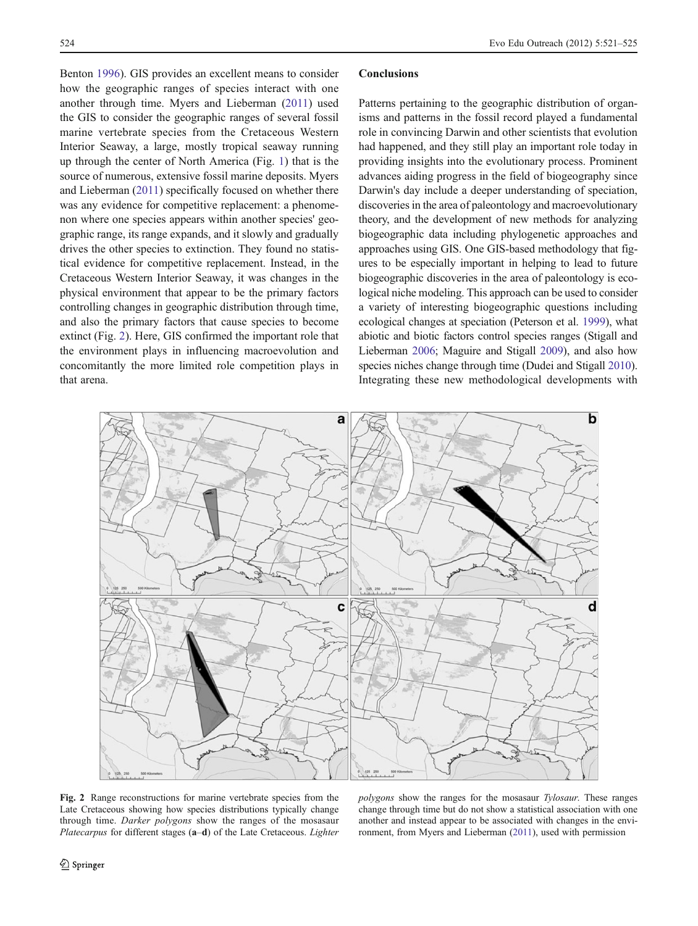Benton [1996\)](#page-4-0). GIS provides an excellent means to consider how the geographic ranges of species interact with one another through time. Myers and Lieberman ([2011](#page-4-0)) used the GIS to consider the geographic ranges of several fossil marine vertebrate species from the Cretaceous Western Interior Seaway, a large, mostly tropical seaway running up through the center of North America (Fig. [1\)](#page-2-0) that is the source of numerous, extensive fossil marine deposits. Myers and Lieberman [\(2011\)](#page-4-0) specifically focused on whether there was any evidence for competitive replacement: a phenomenon where one species appears within another species' geographic range, its range expands, and it slowly and gradually drives the other species to extinction. They found no statistical evidence for competitive replacement. Instead, in the Cretaceous Western Interior Seaway, it was changes in the physical environment that appear to be the primary factors controlling changes in geographic distribution through time, and also the primary factors that cause species to become extinct (Fig. 2). Here, GIS confirmed the important role that the environment plays in influencing macroevolution and concomitantly the more limited role competition plays in that arena.

#### Conclusions

Patterns pertaining to the geographic distribution of organisms and patterns in the fossil record played a fundamental role in convincing Darwin and other scientists that evolution had happened, and they still play an important role today in providing insights into the evolutionary process. Prominent advances aiding progress in the field of biogeography since Darwin's day include a deeper understanding of speciation, discoveries in the area of paleontology and macroevolutionary theory, and the development of new methods for analyzing biogeographic data including phylogenetic approaches and approaches using GIS. One GIS-based methodology that figures to be especially important in helping to lead to future biogeographic discoveries in the area of paleontology is ecological niche modeling. This approach can be used to consider a variety of interesting biogeographic questions including ecological changes at speciation (Peterson et al. [1999\)](#page-4-0), what abiotic and biotic factors control species ranges (Stigall and Lieberman [2006](#page-4-0); Maguire and Stigall [2009\)](#page-4-0), and also how species niches change through time (Dudei and Stigall [2010\)](#page-4-0). Integrating these new methodological developments with



Fig. 2 Range reconstructions for marine vertebrate species from the Late Cretaceous showing how species distributions typically change through time. Darker polygons show the ranges of the mosasaur Platecarpus for different stages (a-d) of the Late Cretaceous. Lighter

polygons show the ranges for the mosasaur Tylosaur. These ranges change through time but do not show a statistical association with one another and instead appear to be associated with changes in the environment, from Myers and Lieberman ([2011](#page-4-0)), used with permission